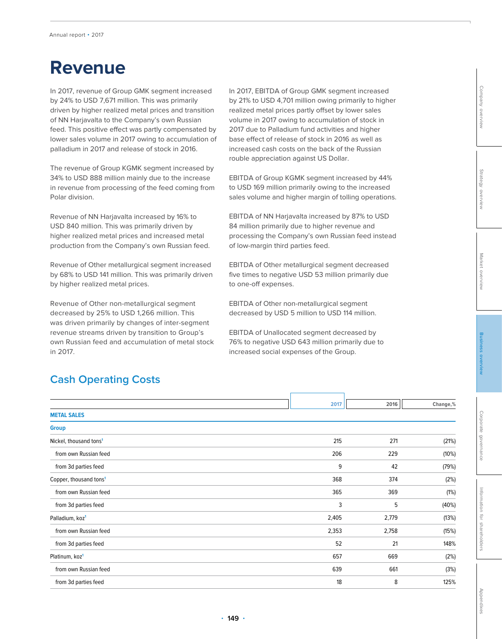# **Revenue**

In 2017, revenue of Group GMK segment increased by 24% to USD 7,671 million. This was primarily driven by higher realized metal prices and transition of NN Harjavalta to the Company's own Russian feed. This positive effect was partly compensated by lower sales volume in 2017 owing to accumulation of palladium in 2017 and release of stock in 2016.

The revenue of Group KGMK segment increased by 34% to USD 888 million mainly due to the increase in revenue from processing of the feed coming from Polar division.

Revenue of NN Harjavalta increased by 16% to USD 840 million. This was primarily driven by higher realized metal prices and increased metal production from the Company's own Russian feed.

Revenue of Other metallurgical segment increased by 68% to USD 141 million. This was primarily driven by higher realized metal prices.

Revenue of Other non-metallurgical segment decreased by 25% to USD 1,266 million. This was driven primarily by changes of inter-segment revenue streams driven by transition to Group's own Russian feed and accumulation of metal stock in 2017.

In 2017, EBITDA of Group GMK segment increased by 21% to USD 4,701 million owing primarily to higher realized metal prices partly offset by lower sales volume in 2017 owing to accumulation of stock in 2017 due to Palladium fund activities and higher base effect of release of stock in 2016 as well as increased cash costs on the back of the Russian rouble appreciation against US Dollar.

EBITDA of Group KGMK segment increased by 44% to USD 169 million primarily owing to the increased sales volume and higher margin of tolling operations.

EBITDA of NN Harjavalta increased by 87% to USD 84 million primarily due to higher revenue and processing the Company's own Russian feed instead of low-margin third parties feed.

EBITDA of Other metallurgical segment decreased five times to negative USD 53 million primarily due to one-off expenses.

EBITDA of Other non-metallurgical segment decreased by USD 5 million to USD 114 million.

EBITDA of Unallocated segment decreased by 76% to negative USD 643 million primarily due to increased social expenses of the Group.

## **Cash Operating Costs**

|                                    | 2017  | 2016  | Change,% |
|------------------------------------|-------|-------|----------|
| <b>METAL SALES</b>                 |       |       |          |
| <b>Group</b>                       |       |       |          |
| Nickel, thousand tons <sup>1</sup> | 215   | 271   | (21%)    |
| from own Russian feed              | 206   | 229   | (10%)    |
| from 3d parties feed               | 9     | 42    | (79%)    |
| Copper, thousand tons <sup>1</sup> | 368   | 374   | (2%)     |
| from own Russian feed              | 365   | 369   | (1%)     |
| from 3d parties feed               | 3     | 5     | (40%)    |
| Palladium, koz <sup>1</sup>        | 2,405 | 2,779 | (13%)    |
| from own Russian feed              | 2,353 | 2,758 | (15%)    |
| from 3d parties feed               | 52    | 21    | 148%     |
| Platinum, koz <sup>1</sup>         | 657   | 669   | (2%)     |
| from own Russian feed              | 639   | 661   | (3%)     |
| from 3d parties feed               | 18    | 8     | 125%     |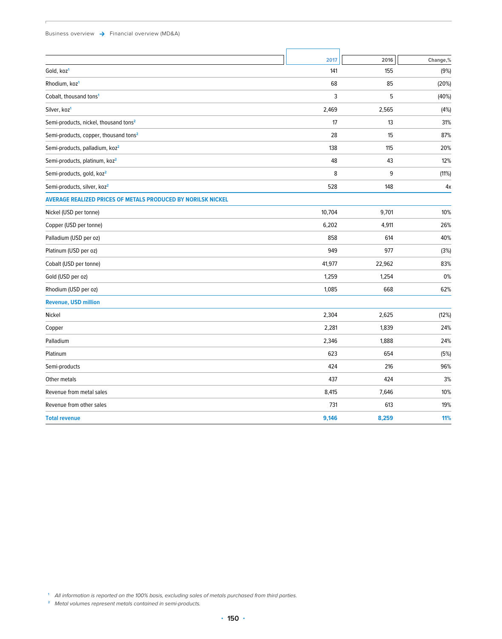#### Business overview  $\rightarrow$  Financial overview (MD&A)

|                                                                     | 2017   | 2016   | Change,% |
|---------------------------------------------------------------------|--------|--------|----------|
| Gold, koz <sup>1</sup>                                              | 141    | 155    | (9%)     |
| Rhodium, koz <sup>1</sup>                                           | 68     | 85     | (20%)    |
| Cobalt, thousand tons <sup>1</sup>                                  | 3      | 5      | (40%)    |
| Silver, koz <sup>1</sup>                                            | 2,469  | 2,565  | (4%)     |
| Semi-products, nickel, thousand tons <sup>2</sup>                   | 17     | 13     | 31%      |
| Semi-products, copper, thousand tons <sup>2</sup>                   | 28     | 15     | 87%      |
| Semi-products, palladium, koz <sup>2</sup>                          | 138    | 115    | 20%      |
| Semi-products, platinum, koz <sup>2</sup>                           | 48     | 43     | 12%      |
| Semi-products, gold, koz <sup>2</sup>                               | 8      | 9      | (11%)    |
| Semi-products, silver, koz <sup>2</sup>                             | 528    | 148    | 4x       |
| <b>AVERAGE REALIZED PRICES OF METALS PRODUCED BY NORILSK NICKEL</b> |        |        |          |
| Nickel (USD per tonne)                                              | 10,704 | 9,701  | 10%      |
| Copper (USD per tonne)                                              | 6,202  | 4,911  | 26%      |
| Palladium (USD per oz)                                              | 858    | 614    | 40%      |
| Platinum (USD per oz)                                               | 949    | 977    | (3%)     |
| Cobalt (USD per tonne)                                              | 41,977 | 22,962 | 83%      |
| Gold (USD per oz)                                                   | 1,259  | 1,254  | 0%       |
| Rhodium (USD per oz)                                                | 1,085  | 668    | 62%      |
| <b>Revenue, USD million</b>                                         |        |        |          |
| Nickel                                                              | 2,304  | 2,625  | (12%)    |
| Copper                                                              | 2,281  | 1,839  | 24%      |
| Palladium                                                           | 2,346  | 1,888  | 24%      |
| Platinum                                                            | 623    | 654    | (5%)     |
| Semi-products                                                       | 424    | 216    | 96%      |
| Other metals                                                        | 437    | 424    | 3%       |
| Revenue from metal sales                                            | 8,415  | 7,646  | 10%      |
| Revenue from other sales                                            | 731    | 613    | 19%      |
| <b>Total revenue</b>                                                | 9,146  | 8,259  | 11%      |
|                                                                     |        |        |          |

**<sup>1</sup>** All information is reported on the 100% basis, excluding sales of metals purchased from third parties.

**<sup>2</sup>** Metal volumes represent metals contained in semi-products.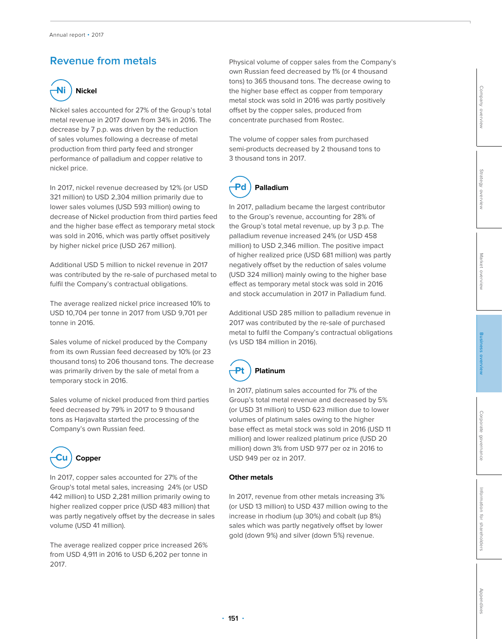## **Revenue from metals**



Nickel sales accounted for 27% of the Group's total metal revenue in 2017 down from 34% in 2016. The decrease by 7 p.p. was driven by the reduction of sales volumes following a decrease of metal production from third party feed and stronger performance of palladium and copper relative to nickel price.

In 2017, nickel revenue decreased by 12% (or USD 321 million) to USD 2,304 million primarily due to lower sales volumes (USD 593 million) owing to decrease of Nickel production from third parties feed and the higher base effect as temporary metal stock was sold in 2016, which was partly offset positively by higher nickel price (USD 267 million).

Additional USD 5 million to nickel revenue in 2017 was contributed by the re-sale of purchased metal to fulfil the Company's contractual obligations.

The average realized nickel price increased 10% to USD 10,704 per tonne in 2017 from USD 9,701 per tonne in 2016.

Sales volume of nickel produced by the Company from its own Russian feed decreased by 10% (or 23 thousand tons) to 206 thousand tons. The decrease was primarily driven by the sale of metal from a temporary stock in 2016.

Sales volume of nickel produced from third parties feed decreased by 79% in 2017 to 9 thousand tons as Harjavalta started the processing of the Company's own Russian feed.



In 2017, copper sales accounted for 27% of the Group's total metal sales, increasing 24% (or USD 442 million) to USD 2,281 million primarily owing to higher realized copper price (USD 483 million) that was partly negatively offset by the decrease in sales volume (USD 41 million).

The average realized copper price increased 26% from USD 4,911 in 2016 to USD 6,202 per tonne in 2017.

Physical volume of copper sales from the Company's own Russian feed decreased by 1% (or 4 thousand tons) to 365 thousand tons. The decrease owing to the higher base effect as copper from temporary metal stock was sold in 2016 was partly positively offset by the copper sales, produced from concentrate purchased from Rostec.

The volume of copper sales from purchased semi-products decreased by 2 thousand tons to 3 thousand tons in 2017.



In 2017, palladium became the largest contributor to the Group's revenue, accounting for 28% of the Group's total metal revenue, up by 3 p.p. The palladium revenue increased 24% (or USD 458 million) to USD 2,346 million. The positive impact of higher realized price (USD 681 million) was partly negatively offset by the reduction of sales volume (USD 324 million) mainly owing to the higher base effect as temporary metal stock was sold in 2016 and stock accumulation in 2017 in Palladium fund.

Additional USD 285 million to palladium revenue in 2017 was contributed by the re-sale of purchased metal to fulfil the Company's contractual obligations (vs USD 184 million in 2016).



In 2017, platinum sales accounted for 7% of the Group's total metal revenue and decreased by 5% (or USD 31 million) to USD 623 million due to lower volumes of platinum sales owing to the higher base effect as metal stock was sold in 2016 (USD 11 million) and lower realized platinum price (USD 20 million) down 3% from USD 977 per oz in 2016 to USD 949 per oz in 2017.

### **Other metals**

In 2017, revenue from other metals increasing 3% (or USD 13 million) to USD 437 million owing to the increase in rhodium (up 30%) and cobalt (up 8%) sales which was partly negatively offset by lower gold (down 9%) and silver (down 5%) revenue.